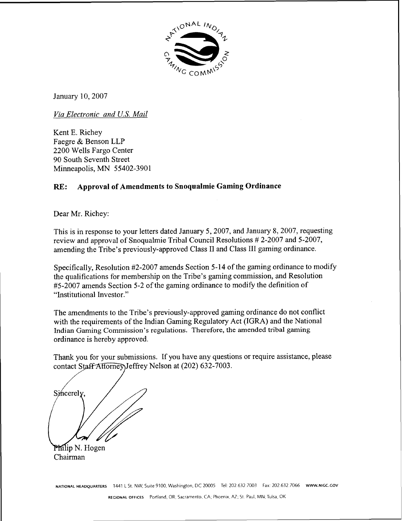

January 10,2007

*Via Electronic and US. Mail* 

Kent E. Richey Faegre & Benson LLP 2200 Wells Fargo Center 90 South Seventh Street Minneapolis, MN 55402-3901

## **RE: Approval of Amendments to Snoqualmie Gaming Ordinance**

Dear Mr. Richey:

This is in response to your letters dated January 5,2007, and January 8,2007, requesting review and approval of Snoqualmie Tribal Council Resolutions # 2-2007 and 5-2007, amending the Tribe's previously-approved Class I1 and Class I11 gaming ordinance.

Specifically, Resolution #2-2007 amends Section 5-14 of the gaming ordinance to modify the qualifications for membership on the Tribe's gaming commission, and Resolution #5-2007 amends Section 5-2 of the gaming ordinance to modify the definition of "Institutional Investor."

The amendments to the Tribe's previously-approved gaming ordinance do not conflict with the requirements of the Indian Gaming Regulatory Act (IGRA) and the National Indian Gaming Commission's regulations. Therefore, the amended tribal gaming ordinance is hereby approved.

Thank you for your submissions. If you have any questions or require assistance, please contact Staff Attorney Jeffrey Nelson at (202) 632-7003.

Sincerely.

Philip N. Hogen Chairman

**NATIONAL HEADQUARTERS** 1441 L St. NW, Suite 9100, Washington, DC 20005 Tel: 202.632.7003 Fax: 202.632.7066 www.NIGC.GOV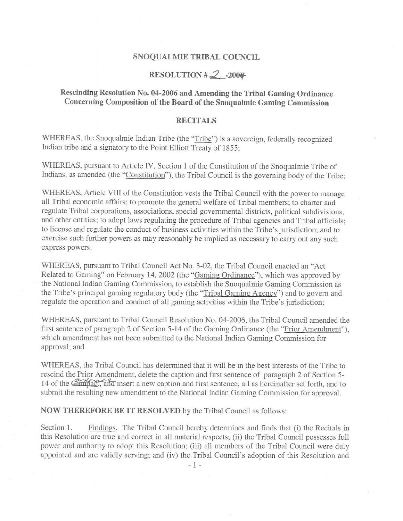### SNOQUALMIE TRIBAL COUNCIL

## RESOLUTION # $2$  -2007

## Rescinding Resolution No. 04-2006 and Amending the Tribal Gaming Ordinance Concerning Composition of the Board of the Snoqualmie Gaming Commission

### **RECITALS**

WHEREAS, the Snoqualmie Indian Tribe (the "Tribe") is a sovereign, federally recognized Indian tribe and a signatory to the Point Elliott Treaty of 1855;

WHEREAS, pursuant to Article IV, Section 1 of the Constitution of the Snoqualmie Tribe of Indians, as amended (the "Constitution"), the Tribal Council is the governing body of the Tribe;

WHEREAS, Article VIII of the Constitution vests the Tribal Council with the power to manage all Tribal economic affairs; to promote the general welfare of Tribal members; to charter and regulate Tribal corporations, associations, special governmental districts, political subdivisions, and other entities; to adopt laws regulating the procedure of Tribal agencies and Tribal officials; to license and regulate the conduct of business activities within the Tribe's jurisdiction; and to exercise such further powers as may reasonably be implied as necessary to carry out any such express powers;

WHEREAS, pursuant to Tribal Council Act No. 3-02, the Tribal Council enacted an "Act Related to Gaming" on February 14, 2002 (the "Gaming Ordinance"), which was approved by the National Indian Gaming Commission, to establish the Snoqualmie Gaming Commission as the Tribe's principal gaming regulatory body (the "Tribal Gaming Agency") and to govern and regulate the operation and conduct of all gaming activities within the Tribe's jurisdiction;

WHEREAS, pursuant to Tribal Council Resolution No. 04-2006, the Tribal Council amended the first sentence of paragraph 2 of Section 5-14 of the Gaming Ordinance (the "Prior Amendment"). which amendment has not been submitted to the National Indian Gaming Commission for approval; and

WHEREAS, the Tribal Council has determined that it will be in the best interests of the Tribe to rescind the Prior Amendment, delete the caption and first sentence of paragraph 2 of Section 5-14 of the Compact, and insert a new caption and first sentence, all as hereinafter set forth, and to submit the resulting new amendment to the National Indian Gaming Commission for approval.

**NOW THEREFORE BE IT RESOLVED** by the Tribal Council as follows:

Section 1. Findings. The Tribal Council hereby determines and finds that (i) the Recitals in this Resolution are true and correct in all material respects; (ii) the Tribal Council possesses full power and authority to adopt this Resolution; (iii) all members of the Tribal Council were duly appointed and are validly serving; and (iv) the Tribal Council's adoption of this Resolution and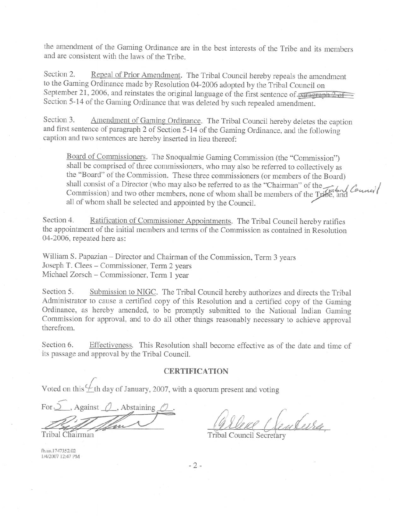the amendment of the Gaming Ordinance are in the best interests of the Tribe and its members and are consistent with the laws of the Tribe.

Section 2. Repeal of Prior Amendment. The Tribal Council hereby repeals the amendment to the Gaming Ordinance made by Resolution 04-2006 adopted by the Tribal Council on September 21, 2006, and reinstates the original language of the first sentence of paragraph  $2 \text{ of }$ Section 5-14 of the Gaming Ordinance that was deleted by such repealed amendment.

Section 3. Amendment of Gaming Ordinance. The Tribal Council hereby deletes the caption and first sentence of paragraph 2 of Section 5-14 of the Gaming Ordinance, and the following caption and two sentences are hereby inserted in lieu thereof:

Board of Commissioners. The Snoqualmie Gaming Commission (the "Commission") shall be comprised of three commissioners, who may also be referred to collectively as the "Board" of the Commission. These three commissioners (or members of the Board) shall consist of a Director (who may also be referred to as the "Chairman" of the Trabal Council Commission) and two other members, none of whom shall be members of the Tribe, and all of whom shall be selected and appointed by the Council.

Ratification of Commissioner Appointments. The Tribal Council hereby ratifies Section 4. the appointment of the initial members and terms of the Commission as contained in Resolution 04-2006, repeated here as:

William S. Papazian – Director and Chairman of the Commission, Term 3 years Joseph T. Clees - Commissioner, Term 2 years Michael Zorsch – Commissioner, Term 1 year

Section 5. Submission to NIGC. The Tribal Council hereby authorizes and directs the Tribal Administrator to cause a certified copy of this Resolution and a certified copy of the Gaming Ordinance, as hereby amended, to be promptly submitted to the National Indian Gaming Commission for approval, and to do all other things reasonably necessary to achieve approval therefrom.

Section 6. Effectiveness. This Resolution shall become effective as of the date and time of its passage and approval by the Tribal Council.

### **CERTIFICATION**

Voted on this  $\frac{1}{2}$ th day of January, 2007, with a quorum present and voting

. Against  $\bigcirc$  , Abstaining Tribal Chairman

uderra

Tribal Council Secretary

fb.us.1747352.02 1/4/2007 12:47 PM

 $-2-$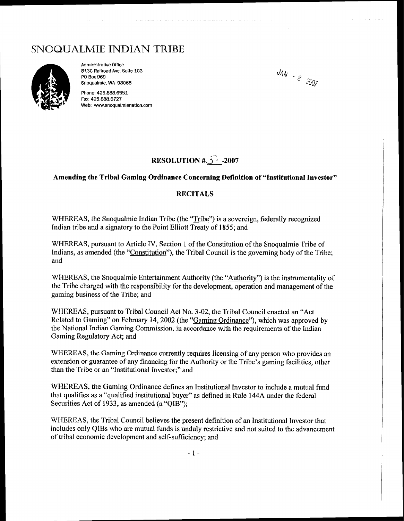# SNOQUALMIE INDIAN TRIBE



**Administrative Office 8130 Railroad Ave. Suite 103 PO Box 969 Snoqualmie, WA 98065** 

**Phone: 425.888.6551 Fax: 425.888.6727 Web: www.snoqualmienation.com** 

 $JAN - 8$  2007

# **RESOLUTION #3-2007**

### **Amending the Tribal Gaming Ordinance Concerning Definition of "Institutional Investor"**

### **RECITALS**

WHEREAS, the Snoqualmie Indian Tribe (the "Tribe") is a sovereign, federally recognized Indian tribe and a signatory to the Point Elliott Treaty of 1855; and

WHEREAS, pursuant to Article IV, Section 1 of the Constitution of the Snoqualmie Tribe of Indians, as amended (the "Constitution"), the Tribal Council is the governing body of the Tribe; and

WHEREAS, the Snoqualmie Entertainment Authority (the "Authoritv") is the instrumentality of the Tribe charged with the responsibility for the development, operation and management of the gaming business of the Tribe; and

WHEREAS, pursuant to Tribal Council Act No. 3-02, the Tribal Council enacted an "Act" Related to Gaming" on February 14,2002 (the "Gaming Ordinance"), which was approved by the National Indian Gaming Commission, in accordance with the requirements of the Indian Gaming Regulatory Act; and

WHEREAS, the Gaming Ordinance currently requires licensing of any person who provides an extension or guarantee of any financing for the Authority or the Tribe's gaming facilities, other than the Tribe or an "Institutional Investor;" and

WHEREAS, the Gaming Ordinance defines an Institutional Investor to include a mutual fund that qualifies as a "qualified institutional buyer" as defined in Rule 144A under the federal Securities Act of 1933, as amended **(a** "QIB");

WHEREAS, the Tribal Council believes the present definition of an Institutional Investor that includes only QIBs who are mutual funds is unduly restrictive and not suited to the advancement of tribal economic development and self-sufficiency; and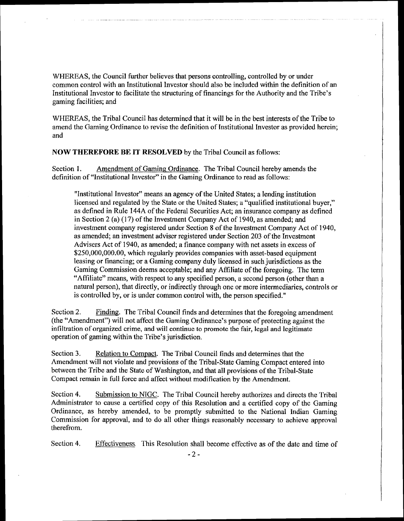WHEREAS, the Council further believes that persons controlling, controlled by or under common control with an Institutional Investor should also be included within the definition of an Institutional Investor to facilitate the structuring of financings for the Authority and the Tribe's gaming facilities; and

WHEREAS, the Tribal Council has determined that it will be in the best interests of the Tribe to amend the Gaming Ordinance to revise the definition of Institutional Investor as provided herein; and

**NOW THEREFORE** BE IT RESOLVED by the Tribal Council as follows:

Section 1. Amendment of Gaming Ordinance. The Tribal Council hereby amends the definition of "Institutional Investor" in the Gaming Ordinance to read as follows:

"Institutional Investor" means an agency of the United States; a lending institution licensed and regulated by the State or the United States; a "qualified institutional buyer," as defined in Rule 144A of the Federal Securities Act; an insurance company as defined in Section 2 (a) (17) of the Investment Company Act of 1940, as amended; and investment company registered under Section **8** of the Investment Company Act of 1940, as amended; an investment adviser registered under Section 203 of the Investment Advisers Act of 1940, as amended; a finance company with net assets in excess of \$250,000,000.00, which regularly provides companies with asset-based equipment leasing or financing; or a Gaming company duly licensed in such jurisdictions as the Gaming Commission deems acceptable; and any Affiliate of the foregoing. The term "Affiliate" means, with respect to any specified person, a second person (other than a natural person), that directly, or indirectly though one or more intermediaries, controls or is controlled by, or is under common control with, the person specified."

Section 2. Finding. The Tribal Council finds and determines that the foregoing amendment (the "Amendment") wiIl not affect the Gaming Ordinance's purpose of protecting against the infiltration of organized crime, and will continue to promote the fair, **legal** and legitimate operation of gaming within the Tribe's jurisdiction.

Section **3.** Relation to Compact. The Tribal Council finds and determines that the Amendment will not violate and provisions of the Tribal-State Gaming Compact entered into between the Tribe and the State of Washington, and that all provisions of the Tribal-State Compact remain in full force and affect without modification by the Amendment.

Section 4. Submission to NIGC. The Tribal Council hereby authorizes and directs the Tribal Administrator to cause a certified copy of this Resolution and a certified copy of the Gaming Ordinance, as hereby amended, to be promptly submitted to the National Indian Gaming Commission for approval, and to do all other things reasonably necessary to achieve approval therefrom.

Section 4. Effectiveness. This Resolution shall become effective as of the date and time of